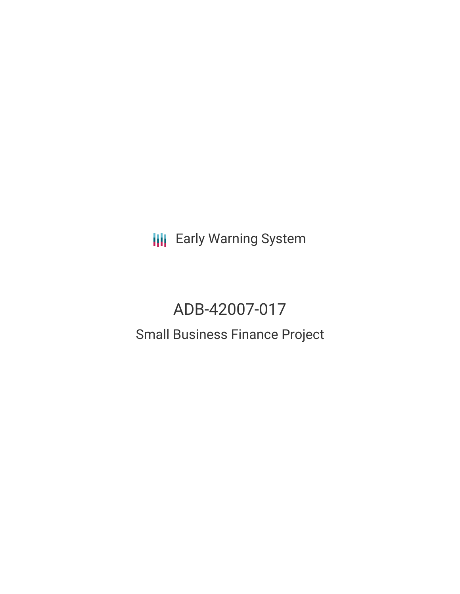**III** Early Warning System

# ADB-42007-017

## Small Business Finance Project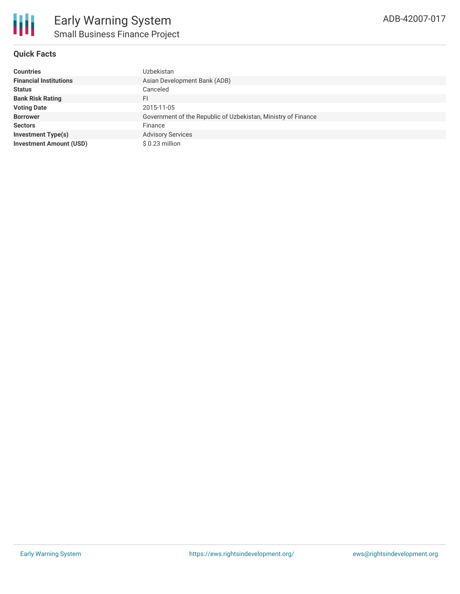#### **Quick Facts**

| <b>Countries</b>               | Uzbekistan                                                    |
|--------------------------------|---------------------------------------------------------------|
| <b>Financial Institutions</b>  | Asian Development Bank (ADB)                                  |
| <b>Status</b>                  | Canceled                                                      |
| <b>Bank Risk Rating</b>        | FI                                                            |
| <b>Voting Date</b>             | 2015-11-05                                                    |
| <b>Borrower</b>                | Government of the Republic of Uzbekistan, Ministry of Finance |
| <b>Sectors</b>                 | Finance                                                       |
| <b>Investment Type(s)</b>      | <b>Advisory Services</b>                                      |
| <b>Investment Amount (USD)</b> | $$0.23$ million                                               |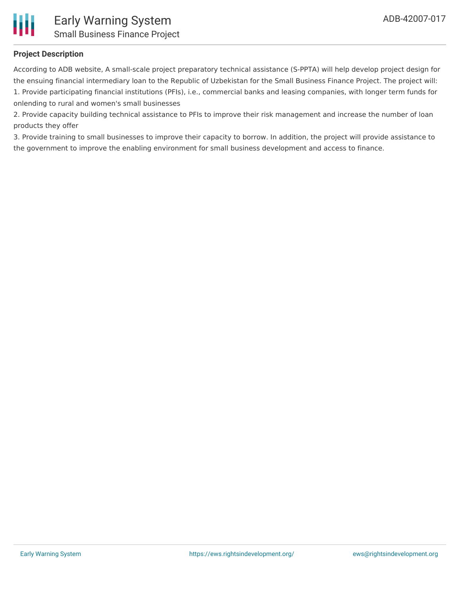

#### **Project Description**

According to ADB website, A small-scale project preparatory technical assistance (S-PPTA) will help develop project design for the ensuing financial intermediary loan to the Republic of Uzbekistan for the Small Business Finance Project. The project will: 1. Provide participating financial institutions (PFIs), i.e., commercial banks and leasing companies, with longer term funds for onlending to rural and women's small businesses

2. Provide capacity building technical assistance to PFIs to improve their risk management and increase the number of loan products they offer

3. Provide training to small businesses to improve their capacity to borrow. In addition, the project will provide assistance to the government to improve the enabling environment for small business development and access to finance.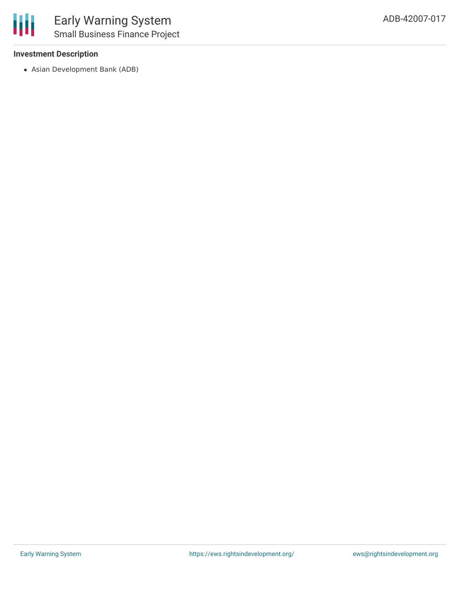#### **Investment Description**

Asian Development Bank (ADB)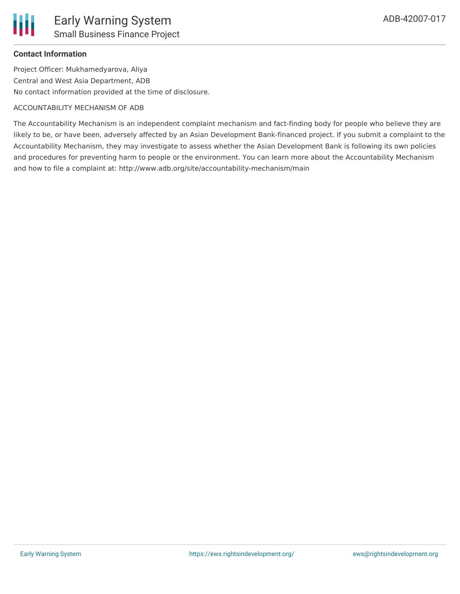### **Contact Information**

Project Officer: Mukhamedyarova, Aliya Central and West Asia Department, ADB No contact information provided at the time of disclosure.

#### ACCOUNTABILITY MECHANISM OF ADB

The Accountability Mechanism is an independent complaint mechanism and fact-finding body for people who believe they are likely to be, or have been, adversely affected by an Asian Development Bank-financed project. If you submit a complaint to the Accountability Mechanism, they may investigate to assess whether the Asian Development Bank is following its own policies and procedures for preventing harm to people or the environment. You can learn more about the Accountability Mechanism and how to file a complaint at: http://www.adb.org/site/accountability-mechanism/main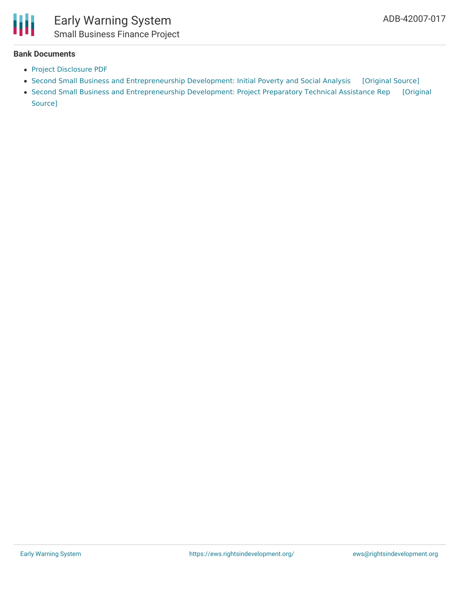

#### **Bank Documents**

- Project [Disclosure](https://www.adb.org/printpdf/projects/42007-017/main) PDF
- Second Small Business and [Entrepreneurship](https://ewsdata.rightsindevelopment.org/files/documents/17/ADB-42007-017_njIvWCZ.pdf) Development: Initial Poverty and Social Analysis [\[Original](https://www.adb.org/projects/documents/uzb-second-small-business-and-entrepreneurship-dev-ipsa) Source]
- Second Small Business and [Entrepreneurship](https://ewsdata.rightsindevelopment.org/files/documents/17/ADB-42007-017.pdf) Development: Project Preparatory Technical Assistance Rep [Original Source]